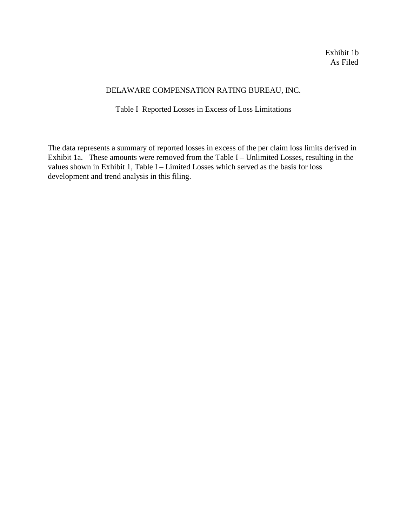# DELAWARE COMPENSATION RATING BUREAU, INC.

# Table I Reported Losses in Excess of Loss Limitations

The data represents a summary of reported losses in excess of the per claim loss limits derived in Exhibit 1a. These amounts were removed from the Table I – Unlimited Losses, resulting in the values shown in Exhibit 1, Table I – Limited Losses which served as the basis for loss development and trend analysis in this filing.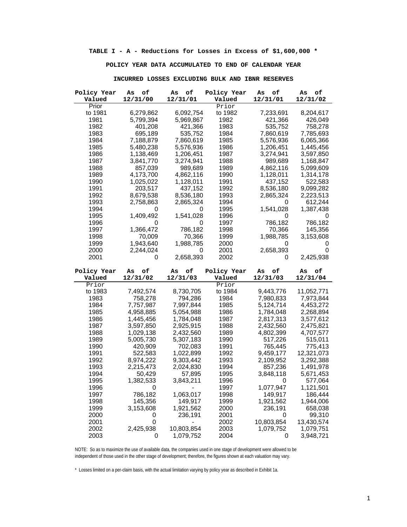**TABLE I - A - Reductions for Losses in Excess of \$1,600,000 \***

## **POLICY YEAR DATA ACCUMULATED TO END OF CALENDAR YEAR**

| Policy Year<br>Valued | оf<br>As<br>12/31/00 | оf<br>As<br>12/31/01 | Policy Year<br>Valued | оf<br>As<br>12/31/01 | о£<br>As<br>12/31/02 |
|-----------------------|----------------------|----------------------|-----------------------|----------------------|----------------------|
| Prior                 |                      |                      | Prior                 |                      |                      |
| to 1981               | 6,279,862            | 6,092,754            | to 1982               | 7,233,691            | 8,204,617            |
| 1981                  | 5,799,394            | 5,969,867            | 1982                  | 421,366              | 426,049              |
| 1982                  | 401,208              | 421,366              | 1983                  | 535,752              | 758,278              |
| 1983                  | 695,189              | 535,752              | 1984                  | 7,860,619            | 7,785,693            |
| 1984                  | 7,188,879            | 7,860,619            | 1985                  | 5,576,936            | 6,065,366            |
| 1985                  | 5,480,238            | 5,576,936            | 1986                  | 1,206,451            | 1,445,456            |
| 1986                  | 1,138,469            | 1,206,451            | 1987                  | 3,274,941            | 3,597,850            |
| 1987                  | 3,841,770            | 3,274,941            | 1988                  | 989,689              | 1,168,847            |
| 1988                  | 857,039              | 989,689              | 1989                  | 4,862,116            | 5,099,609            |
| 1989                  | 4,173,700            | 4,862,116            | 1990                  | 1,128,011            | 1,314,178            |
| 1990                  | 1,025,022            | 1,128,011            | 1991                  | 437,152              | 522,583              |
| 1991                  | 203,517              | 437,152              | 1992                  | 8,536,180            | 9,099,282            |
| 1992                  | 8,679,538            | 8,536,180            | 1993                  | 2,865,324            | 2,223,513            |
| 1993                  | 2,758,863            | 2,865,324            | 1994                  | 0                    | 612,244              |
| 1994                  | 0                    | 0                    | 1995                  | 1,541,028            | 1,387,438            |
| 1995                  | 1,409,492            | 1,541,028            | 1996                  | 0                    | O                    |
| 1996                  | 0                    | 0                    | 1997                  | 786,182              | 786,182              |
| 1997                  | 1,366,472            | 786,182              | 1998                  | 70,366               | 145,356              |
| 1998                  | 70,009               | 70,366               | 1999                  | 1,988,785            | 3,153,608            |
| 1999                  | 1,943,640            | 1,988,785            | 2000                  | 0                    | U                    |
| 2000                  | 2,244,024            | 0                    | 2001                  | 2,658,393            | 0                    |
| 2001                  | 0                    | 2,658,393            | 2002                  | 0                    | 2,425,938            |
|                       |                      |                      |                       |                      |                      |
|                       |                      |                      |                       |                      |                      |
| Policy Year           | оf<br>As             | оf<br>As             | Policy Year           | оf<br>As             | о£<br>As             |
| Valued                | 12/31/02             | 12/31/03             | Valued                | 12/31/03             | 12/31/04             |
| Prior                 |                      |                      | Prior                 |                      |                      |
| to 1983               | 7,492,574            | 8,730,705            | to 1984               | 9,443,776            | 11,052,771           |
| 1983                  | 758,278              | 794,286              | 1984                  | 7,980,833            | 7,973,844            |
| 1984                  | 7,757,987            | 7,997,844            | 1985                  | 5,124,714            | 4,453,272            |
| 1985                  | 4,958,885            | 5,054,988            | 1986                  | 1,784,048            | 2,268,894            |
| 1986                  | 1,445,456            | 1,784,048            | 1987                  | 2,817,313            | 3,577,612            |
| 1987                  | 3,597,850            | 2,925,915            | 1988                  | 2,432,560            | 2,475,821            |
| 1988                  | 1,029,138            | 2,432,560            | 1989                  | 4,802,399            | 4,707,577            |
| 1989                  | 5,005,730            | 5,307,183            | 1990                  | 517,226              | 515,011              |
| 1990                  | 420,909              | 702,083              | 1991                  | 765,445              | 775,413              |
| 1991                  | 522,583              | 1,022,899            | 1992                  | 9,459,177            | 12,321,073           |
| 1992                  | 8,974,222            | 9,303,442            | 1993                  | 2,109,952            | 3,292,388            |
| 1993                  | 2,215,473            | 2,024,830            | 1994                  | 857,236              | 1,491,978            |
| 1994                  | 50,429               | 57,895               | 1995                  | 3,848,118            | 5,671,453            |
| 1995                  | 1,382,533            | 3,843,211            | 1996                  | 0                    | 577,064              |
| 1996                  | 0                    |                      | 1997                  | 1,077,947            | 1,121,501            |
| 1997                  | 786,182              | 1,063,017            | 1998                  | 149,917              | 186,444              |
| 1998                  | 145,356              | 149,917              | 1999                  | 1,921,562            | 1,944,006            |
| 1999                  | 3,153,608            | 1,921,562            | 2000                  | 236,191              | 658,038              |
| 2000                  | 0                    | 236,191              | 2001                  | 0                    | 99,310               |
| 2001                  | 0                    |                      | 2002                  | 10,803,854           | 13,430,574           |
| 2002                  | 2,425,938            | 10,803,854           | 2003                  | 1,079,752            | 1,079,751            |

### **INCURRED LOSSES EXCLUDING BULK AND IBNR RESERVES**

NOTE: So as to maximize the use of available data, the companies used in one stage of development were allowed to be independent of those used in the other stage of development; therefore, the figures shown at each valuation may vary.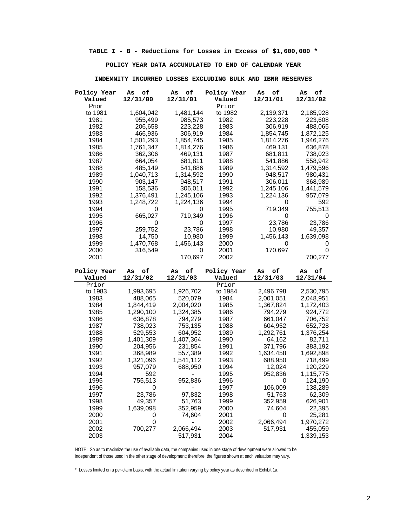**TABLE I - B - Reductions for Losses in Excess of \$1,600,000 \***

### **POLICY YEAR DATA ACCUMULATED TO END OF CALENDAR YEAR**

| Policy Year  | оf<br>As  | of<br>As             | Policy Year           | оf<br>As  | оf<br>As             |
|--------------|-----------|----------------------|-----------------------|-----------|----------------------|
| Valued       | 12/31/00  | 12/31/01             | Valued                | 12/31/01  | 12/31/02             |
| Prior        |           |                      | Prior                 |           |                      |
| to 1981      | 1,604,042 | 1,481,144            | to 1982               | 2,139,371 | 2,185,928            |
| 1981         | 955,499   | 985,573              | 1982                  | 223,228   | 223,608              |
| 1982         | 206,658   | 223,228              | 1983                  | 306,919   | 488,065              |
| 1983         | 466,936   | 306,919              | 1984                  | 1,854,745 | 1,872,125            |
| 1984         | 1,501,293 | 1,854,745            | 1985                  | 1,814,276 | 1,946,276            |
| 1985         | 1,761,347 | 1,814,276            | 1986                  | 469,131   | 636,878              |
| 1986         | 362,306   | 469,131              | 1987                  | 681,811   | 738,023              |
| 1987         | 664,054   | 681,811              | 1988                  | 541,886   | 558,942              |
| 1988         | 485,149   | 541,886              | 1989                  | 1,314,592 | 1,479,596            |
| 1989         | 1,040,713 | 1,314,592            | 1990                  | 948,517   | 980,431              |
| 1990         | 903,147   | 948,517              | 1991                  | 306,011   | 368,989              |
| 1991         | 158,536   | 306,011              | 1992                  | 1,245,106 | 1,441,579            |
| 1992         | 1,376,491 | 1,245,106            | 1993                  | 1,224,136 | 957,079              |
| 1993         | 1,248,722 | 1,224,136            | 1994                  | 0         | 592                  |
| 1994         | 0         | 0                    | 1995                  | 719,349   | 755,513              |
| 1995         | 665,027   | 719,349              | 1996                  | 0         | 0                    |
| 1996         | 0         | 0                    | 1997                  | 23,786    | 23,786               |
| 1997         | 259,752   | 23,786               | 1998                  | 10,980    | 49,357               |
| 1998         | 14,750    | 10,980               | 1999                  | 1,456,143 | 1,639,098            |
| 1999         | 1,470,768 | 1,456,143            | 2000                  | 0         | O                    |
| 2000         | 316,549   | 0                    | 2001                  | 170,697   | 0                    |
| 2001         |           | 170,697              | 2002                  |           | 700,277              |
|              |           |                      |                       |           |                      |
| Policy Year  | оf<br>As  | оf<br>As             |                       | о£<br>As  | о£<br>As             |
| Valued       |           |                      | Policy Year<br>Valued |           | 12/31/04             |
| Prior        | 12/31/02  | 12/31/03             | Prior                 | 12/31/03  |                      |
| to 1983      | 1,993,695 | 1,926,702            | to 1984               | 2,496,798 | 2,530,795            |
| 1983         | 488,065   | 520,079              | 1984                  | 2,001,051 | 2,048,951            |
| 1984         | 1,844,419 | 2,004,020            | 1985                  | 1,367,824 | 1,172,403            |
| 1985         | 1,290,100 | 1,324,385            | 1986                  | 794,279   | 924,772              |
| 1986         | 636,878   | 794,279              | 1987                  | 661,047   | 706,752              |
| 1987         | 738,023   | 753,135              | 1988                  | 604,952   | 652,728              |
| 1988         | 529,553   | 604,952              | 1989                  | 1,292,761 | 1,376,254            |
| 1989         | 1,401,309 | 1,407,364            | 1990                  | 64,162    | 82,711               |
| 1990         | 204,956   | 231,854              | 1991                  | 371,796   | 383,192              |
| 1991         | 368,989   | 557,389              | 1992                  | 1,634,458 | 1,692,898            |
| 1992         | 1,321,096 | 1,541,112            | 1993                  | 688,950   | 718,499              |
| 1993         | 957,079   | 688,950              | 1994                  | 12,024    | 120,229              |
| 1994         | 592       |                      | 1995                  | 952,836   | 1,115,775            |
| 1995         | 755,513   | 952,836              | 1996                  | 0         | 124,190              |
| 1996         | 0         |                      | 1997                  | 106,009   | 138,289              |
| 1997         | 23,786    | 97,832               | 1998                  | 51,763    | 62,309               |
| 1998         | 49,357    | 51,763               | 1999                  | 352,959   | 626,901              |
| 1999         | 1,639,098 | 352,959              | 2000                  | 74,604    | 22,395               |
| 2000         | 0         | 74,604               | 2001                  | 0         | 25,281               |
| 2001         | 0         |                      | 2002                  | 2,066,494 | 1,970,272            |
| 2002<br>2003 | 700,277   | 2,066,494<br>517,931 | 2003<br>2004          | 517,931   | 455,059<br>1,339,153 |

### **INDEMNITY INCURRED LOSSES EXCLUDING BULK AND IBNR RESERVES**

NOTE: So as to maximize the use of available data, the companies used in one stage of development were allowed to be independent of those used in the other stage of development; therefore, the figures shown at each valuation may vary.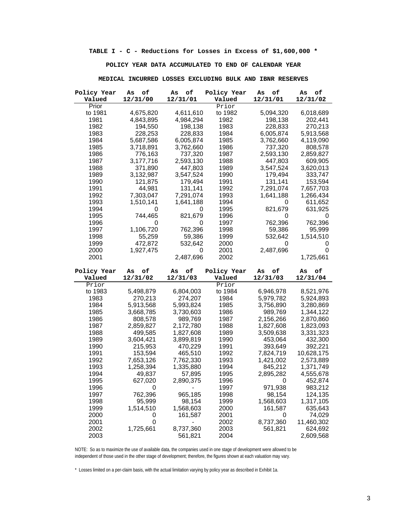**TABLE I - C - Reductions for Losses in Excess of \$1,600,000 \***

## **POLICY YEAR DATA ACCUMULATED TO END OF CALENDAR YEAR**

| Policy Year  | оf<br>As  | оf<br>As             | Policy Year  | $\circ \texttt{f}$<br>As | оf<br>As             |
|--------------|-----------|----------------------|--------------|--------------------------|----------------------|
| Valued       | 12/31/00  | 12/31/01             | Valued       | 12/31/01                 | 12/31/02             |
| Prior        |           |                      | Prior        |                          |                      |
| to 1981      | 4,675,820 | 4,611,610            | to 1982      | 5,094,320                | 6,018,689            |
| 1981         | 4,843,895 | 4,984,294            | 1982         | 198,138                  | 202,441              |
| 1982         | 194,550   | 198,138              | 1983         | 228,833                  | 270,213              |
| 1983         | 228,253   | 228,833              | 1984         | 6,005,874                | 5,913,568            |
| 1984         | 5,687,586 | 6,005,874            | 1985         | 3,762,660                | 4,119,090            |
| 1985         | 3,718,891 | 3,762,660            | 1986         | 737,320                  | 808,578              |
| 1986         | 776,163   | 737,320              | 1987         | 2,593,130                | 2,859,827            |
| 1987         | 3,177,716 | 2,593,130            | 1988         | 447,803                  | 609,905              |
| 1988         | 371,890   | 447,803              | 1989         | 3,547,524                | 3,620,013            |
| 1989         | 3,132,987 | 3,547,524            | 1990         | 179,494                  | 333,747              |
| 1990         | 121,875   | 179,494              | 1991         | 131,141                  | 153,594              |
| 1991         | 44,981    | 131,141              | 1992         | 7,291,074                | 7,657,703            |
| 1992         | 7,303,047 | 7,291,074            | 1993         | 1,641,188                | 1,266,434            |
| 1993         | 1,510,141 | 1,641,188            | 1994         | 0                        | 611,652              |
| 1994         | 0         | 0                    | 1995         | 821,679                  | 631,925              |
| 1995         | 744,465   | 821,679              | 1996         | 0                        | 0                    |
| 1996         | 0         | 0                    | 1997         | 762,396                  | 762,396              |
| 1997         | 1,106,720 | 762,396              | 1998         | 59,386                   | 95,999               |
| 1998         | 55,259    | 59,386               | 1999         | 532,642                  | 1,514,510            |
| 1999         | 472,872   | 532,642              | 2000         | 0                        | U                    |
| 2000         | 1,927,475 | 0                    | 2001         | 2,487,696                | 0                    |
| 2001         |           | 2,487,696            | 2002         |                          | 1,725,661            |
|              |           |                      |              |                          |                      |
|              |           |                      |              |                          |                      |
|              |           |                      |              |                          |                      |
| Policy Year  | оf<br>As  | of<br>As             | Policy Year  | оf<br>As                 | оf<br>As             |
| Valued       | 12/31/02  | 12/31/03             | Valued       | 12/31/03                 | 12/31/04             |
| Prior        |           |                      | Prior        |                          |                      |
| to 1983      | 5,498,879 | 6,804,003            | to 1984      | 6,946,978                | 8,521,976            |
| 1983         | 270,213   | 274,207              | 1984         | 5,979,782                | 5,924,893            |
| 1984         | 5,913,568 | 5,993,824            | 1985         | 3,756,890                | 3,280,869            |
| 1985         | 3,668,785 | 3,730,603            | 1986         | 989,769                  | 1,344,122            |
| 1986         | 808,578   | 989,769              | 1987         | 2,156,266                | 2,870,860            |
| 1987         | 2,859,827 | 2,172,780            | 1988         | 1,827,608                | 1,823,093            |
| 1988         | 499,585   | 1,827,608            | 1989         | 3,509,638                | 3,331,323            |
| 1989         | 3,604,421 | 3,899,819            | 1990         | 453,064                  | 432,300              |
| 1990         | 215,953   | 470,229              | 1991         | 393,649                  | 392,221              |
| 1991         | 153,594   | 465,510              | 1992         | 7,824,719                | 10,628,175           |
| 1992         | 7,653,126 | 7,762,330            | 1993         | 1,421,002                | 2,573,889            |
| 1993         | 1,258,394 | 1,335,880            | 1994         | 845,212                  | 1,371,749            |
| 1994         | 49,837    | 57,895               | 1995         | 2,895,282                | 4,555,678            |
| 1995         | 627,020   | 2,890,375            | 1996         | 0                        | 452,874              |
| 1996         | 0         |                      | 1997         | 971,938                  | 983,212              |
| 1997         | 762,396   | 965,185              | 1998         | 98,154                   | 124,135              |
| 1998         | 95,999    | 98,154               | 1999         | 1,568,603                | 1,317,105            |
| 1999         | 1,514,510 | 1,568,603            | 2000         | 161,587                  | 635,643              |
| 2000         | 0         | 161,587              | 2001         | 0                        | 74,029               |
| 2001         | 0         |                      | 2002         | 8,737,360                | 11,460,302           |
| 2002<br>2003 | 1,725,661 | 8,737,360<br>561,821 | 2003<br>2004 | 561,821                  | 624,692<br>2,609,568 |

### **MEDICAL INCURRED LOSSES EXCLUDING BULK AND IBNR RESERVES**

NOTE: So as to maximize the use of available data, the companies used in one stage of development were allowed to be independent of those used in the other stage of development; therefore, the figures shown at each valuation may vary.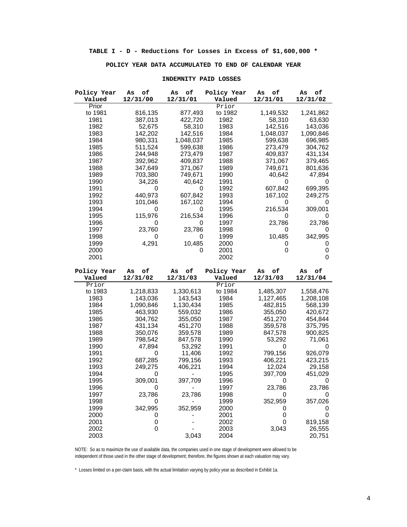### **POLICY YEAR DATA ACCUMULATED TO END OF CALENDAR YEAR**

| Policy Year     | оf<br>As       | of<br>As           | Policy Year  | о£<br>As     | о£<br>As          |
|-----------------|----------------|--------------------|--------------|--------------|-------------------|
| Valued<br>Prior | 12/31/00       | 12/31/01           | Valued       | 12/31/01     | 12/31/02          |
|                 |                |                    | Prior        |              |                   |
| to 1981         | 816,135        | 877,493            | to 1982      | 1,149,532    | 1,241,862         |
| 1981            | 387,013        | 422,720            | 1982         | 58,310       | 63,630            |
| 1982            | 52,675         | 58,310             | 1983         | 142,516      | 143,036           |
| 1983            | 142,202        | 142,516            | 1984         | 1,048,037    | 1,090,846         |
| 1984            | 980,331        | 1,048,037          | 1985         | 599,638      | 696,985           |
| 1985            | 511,524        | 599,638            | 1986         | 273,479      | 304,762           |
| 1986            | 244,948        | 273,479            | 1987         | 409,837      | 431,134           |
| 1987            | 392,962        | 409,837            | 1988         | 371,067      | 379,465           |
| 1988            | 347,649        | 371,067            | 1989         | 749,671      | 801,636           |
| 1989            | 703,380        | 749,671            | 1990         | 40,642       | 47,894            |
| 1990            | 34,226         | 40,642             | 1991         | 0            | 0                 |
| 1991            | 0              | 0                  | 1992         | 607,842      | 699,395           |
| 1992            | 440,973        | 607,842            | 1993         | 167,102      | 249,275           |
| 1993            | 101,046        | 167,102            | 1994         | 0            | 0                 |
| 1994            | 0              | 0                  | 1995         | 216,534      | 309,001           |
| 1995            | 115,976        | 216,534            | 1996         | 0            | 0                 |
| 1996            | 0              | 0                  | 1997         | 23,786       | 23,786            |
| 1997            | 23,760         | 23,786             | 1998         | 0            | O                 |
| 1998            | 0              | 0                  | 1999         | 10,485       | 342,995           |
| 1999            | 4,291          | 10,485             | 2000         | 0            | 0                 |
| 2000            |                | 0                  | 2001         | 0            | 0                 |
| 2001            |                |                    | 2002         |              | 0                 |
|                 |                |                    |              |              |                   |
|                 |                |                    |              |              |                   |
| Policy Year     | о£<br>As       | оf<br>As           | Policy Year  | о£<br>As     | о£<br>As          |
| Valued          | 12/31/02       | 12/31/03           | Valued       | 12/31/03     | 12/31/04          |
| Prior           |                |                    | Prior        |              |                   |
| to 1983         | 1,218,833      | 1,330,613          | to 1984      | 1,485,307    | 1,558,476         |
| 1983            | 143,036        | 143,543            | 1984         | 1,127,465    | 1,208,108         |
| 1984            | 1,090,846      | 1,130,434          | 1985         | 482,815      | 568,139           |
| 1985            | 463,930        | 559,032            | 1986         | 355,050      | 420,672           |
| 1986            | 304,762        | 355,050            | 1987         | 451,270      | 454,844           |
| 1987            | 431,134        | 451,270            | 1988         | 359,578      | 375,795           |
| 1988            | 350,076        | 359,578            | 1989         | 847,578      | 900,825           |
| 1989            | 798,542        | 847,578            | 1990         | 53,292       | 71,061            |
| 1990            | 47,894         | 53,292             | 1991         | 0            | 0                 |
| 1991            | 0              | 11,406             | 1992         | 799.156      | 926,079           |
| 1992            | 687,285        |                    | 1993         | 406,221      |                   |
|                 |                | 799,156<br>406,221 | 1994         | 12,024       | 423,215           |
| 1993            | 249,275<br>0   |                    |              |              | 29,158            |
| 1994            |                |                    | 1995         | 397,709<br>0 | 451,029<br>0      |
| 1995            | 309,001<br>U   | 397,709            | 1996         |              |                   |
| 1996            |                |                    | 1997         | 23,786<br>0  | 23,786<br>0       |
| 1997            | 23,786<br>0    | 23,786             | 1998         |              |                   |
| 1998            |                |                    | 1999         | 352,959      | 357,026           |
| 1999            | 342,995        | 352,959            | 2000         | 0            | 0                 |
| 2000            | 0              |                    | 2001         | 0            | $\mathbf 0$       |
| 2001<br>2002    | $\pmb{0}$<br>0 |                    | 2002<br>2003 | 0<br>3,043   | 819,158<br>26,555 |

#### **INDEMNITY PAID LOSSES**

NOTE: So as to maximize the use of available data, the companies used in one stage of development were allowed to be independent of those used in the other stage of development; therefore, the figures shown at each valuation may vary.